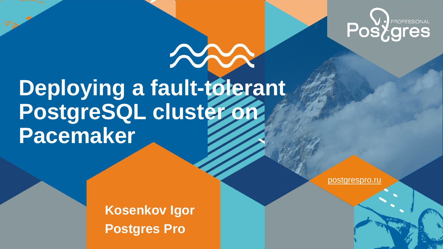

# **Deploying a fault-tolerant PostgreSQL cluster on Pacemaker**

**Kosenkov Igor Postgres Pro**

postgrespro.ru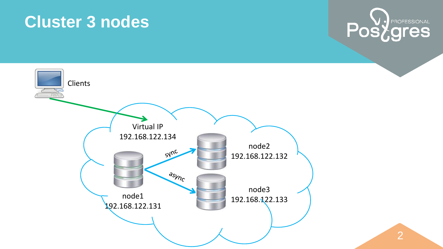#### **Cluster 3 nodes**





2 2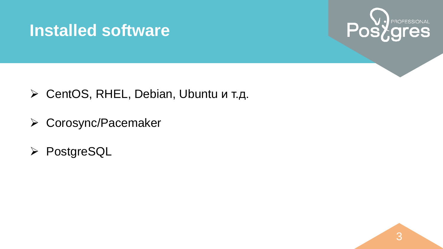## **Installed software**



- CentOS, RHEL, Debian, Ubuntu и т.д.
- Corosync/Pacemaker
- **▶ PostgreSQL**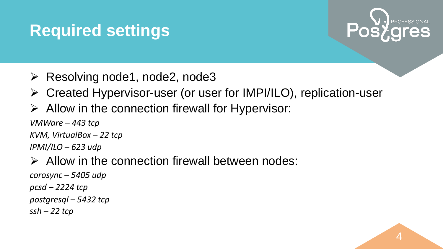# **Required settings**



- $\triangleright$  Resolving node1, node2, node3
- Created Hypervisor-user (or user for IMPI/ILO), replication-user
- $\triangleright$  Allow in the connection firewall for Hypervisor:

*VMWare – 443 tcp*

*KVM, VirtualBox – 22 tcp*

*IPMI/ILO – 623 udp*

 $\triangleright$  Allow in the connection firewall between nodes:

*corosync – 5405 udp pcsd – 2224 tcp postgresql – 5432 tcp ssh – 22 tcp*

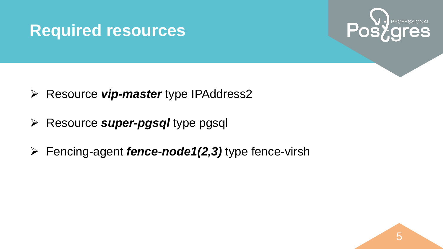## **Required resources**



- Resource *vip-master* type IPAddress2
- Resource *super-pgsql* type pgsql
- Fencing-agent *fence-node1(2,3)* type fence-virsh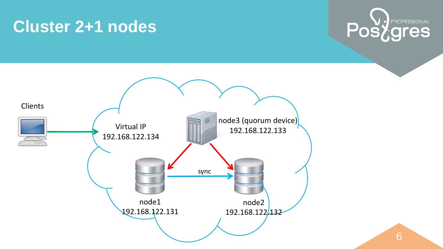## **Cluster 2+1 nodes**





6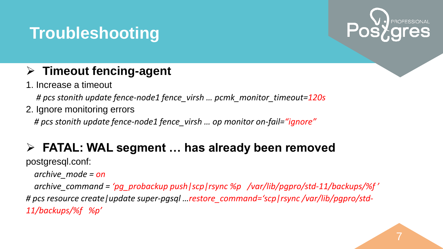## **Troubleshooting**



7

#### **Timeout fencing-agent**

1. Increase a timeout

 *# pcs stonith update fence-node1 fence\_virsh … pcmk\_monitor\_timeout=120s*

2. Ignore monitoring errors

 *# pcs stonith update fence-node1 fence\_virsh … op monitor on-fail="ignore"*

#### **FATAL: WAL segment … has already been removed**

postgresql.conf:

 *archive\_mode = on*

 *archive\_command = 'pg\_probackup push|scp|rsync %p /var/lib/pgpro/std-11/backups/%f ' # pcs resource create|update super-pgsql …restore\_command='scp|rsync /var/lib/pgpro/std-11/backups/%f %p'*